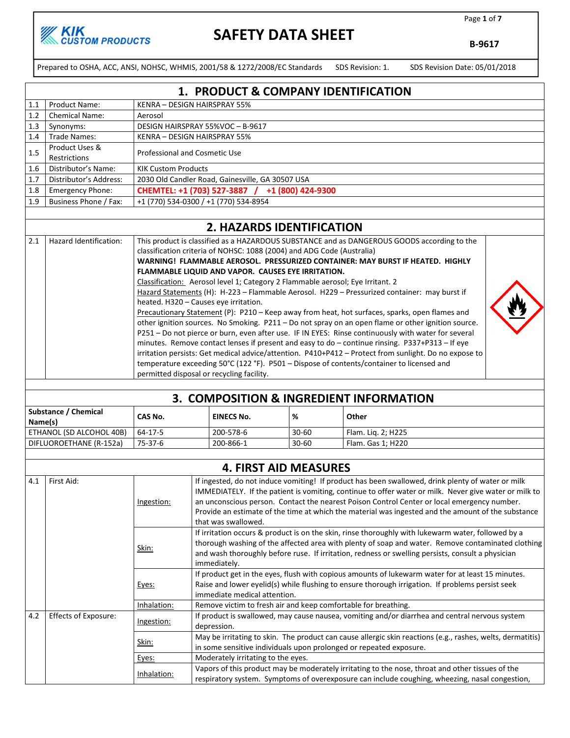Page 1 of 7

B-9617

Prepared to OSHA, ACC, ANSI, NOHSC, WHMIS, 2001/58 & 1272/2008/EC Standards SDS Revision: 1. SDS Revision Date: 05/01/2018

1. PRODUCT & COMPANY IDENTIFICATION 1.1 | Product Name: KENRA – DESIGN HAIRSPRAY 55% 1.2 Chemical Name: Aerosol 1.3 Synonyms: DESIGN HAIRSPRAY 55%VOC - B-9617 1.4 Trade Names: KENRA – DESIGN HAIRSPRAY 55% 1.5 Product Uses &<br>Restrictions Professional and Cosmetic Use 1.6 Distributor's Name: KIK Custom Products 1.7 Distributor's Address: 2030 Old Candler Road, Gainesville, GA 30507 USA 1.8 Emergency Phone: **CHEMTEL: +1 (703) 527-3887** / +1 (800) 424-9300 1.9 Business Phone / Fax: +1 (770) 534-0300 / +1 (770) 534-8954

#### 2. HAZARDS IDENTIFICATION

| 2.1 | Hazard Identification: | This product is classified as a HAZARDOUS SUBSTANCE and as DANGEROUS GOODS according to the           |  |
|-----|------------------------|-------------------------------------------------------------------------------------------------------|--|
|     |                        | classification criteria of NOHSC: 1088 (2004) and ADG Code (Australia)                                |  |
|     |                        | WARNING! FLAMMABLE AEROSOL. PRESSURIZED CONTAINER: MAY BURST IF HEATED. HIGHLY                        |  |
|     |                        | FLAMMABLE LIQUID AND VAPOR. CAUSES EYE IRRITATION.                                                    |  |
|     |                        | Classification: Aerosol level 1; Category 2 Flammable aerosol; Eye Irritant. 2                        |  |
|     |                        | Hazard Statements (H): H-223 - Flammable Aerosol. H229 - Pressurized container: may burst if          |  |
|     |                        | heated. H320 - Causes eye irritation.                                                                 |  |
|     |                        | Precautionary Statement (P): P210 - Keep away from heat, hot surfaces, sparks, open flames and        |  |
|     |                        | other ignition sources. No Smoking. P211 - Do not spray on an open flame or other ignition source.    |  |
|     |                        | P251 - Do not pierce or burn, even after use. IF IN EYES: Rinse continuously with water for several   |  |
|     |                        | minutes. Remove contact lenses if present and easy to do - continue rinsing. P337+P313 - If eye       |  |
|     |                        | irritation persists: Get medical advice/attention. P410+P412 - Protect from sunlight. Do no expose to |  |
|     |                        | temperature exceeding 50°C (122 °F). P501 – Dispose of contents/container to licensed and             |  |
|     |                        | permitted disposal or recycling facility.                                                             |  |
|     |                        |                                                                                                       |  |

| 3. COMPOSITION & INGREDIENT INFORMATION |         |                   |           |                    |  |  |
|-----------------------------------------|---------|-------------------|-----------|--------------------|--|--|
| Substance / Chemical<br>Name(s)         | CAS No. | <b>EINECS No.</b> | %         | Other              |  |  |
| ETHANOL (SD ALCOHOL 40B)                | 64-17-5 | 200-578-6         | $30 - 60$ | Flam. Lig. 2; H225 |  |  |
| DIFLUOROETHANE (R-152a)                 | 75-37-6 | 200-866-1         | $30 - 60$ | Flam. Gas 1; H220  |  |  |

|     |                             |                                                                                                                                                                                                    | <b>4. FIRST AID MEASURES</b>                                                                                                                                                                                                                                                                                                                                                                                                           |  |  |  |
|-----|-----------------------------|----------------------------------------------------------------------------------------------------------------------------------------------------------------------------------------------------|----------------------------------------------------------------------------------------------------------------------------------------------------------------------------------------------------------------------------------------------------------------------------------------------------------------------------------------------------------------------------------------------------------------------------------------|--|--|--|
| 4.1 | First Aid:                  | Ingestion:                                                                                                                                                                                         | If ingested, do not induce vomiting! If product has been swallowed, drink plenty of water or milk<br>IMMEDIATELY. If the patient is vomiting, continue to offer water or milk. Never give water or milk to<br>an unconscious person. Contact the nearest Poison Control Center or local emergency number.<br>Provide an estimate of the time at which the material was ingested and the amount of the substance<br>that was swallowed. |  |  |  |
|     |                             | Skin:                                                                                                                                                                                              | If irritation occurs & product is on the skin, rinse thoroughly with lukewarm water, followed by a<br>thorough washing of the affected area with plenty of soap and water. Remove contaminated clothing<br>and wash thoroughly before ruse. If irritation, redness or swelling persists, consult a physician<br>immediately.                                                                                                           |  |  |  |
|     |                             | Eyes:                                                                                                                                                                                              | If product get in the eyes, flush with copious amounts of lukewarm water for at least 15 minutes.<br>Raise and lower eyelid(s) while flushing to ensure thorough irrigation. If problems persist seek<br>immediate medical attention.                                                                                                                                                                                                  |  |  |  |
|     |                             | Inhalation:                                                                                                                                                                                        | Remove victim to fresh air and keep comfortable for breathing.                                                                                                                                                                                                                                                                                                                                                                         |  |  |  |
| 4.2 | <b>Effects of Exposure:</b> | Ingestion:                                                                                                                                                                                         | If product is swallowed, may cause nausea, vomiting and/or diarrhea and central nervous system<br>depression.                                                                                                                                                                                                                                                                                                                          |  |  |  |
|     |                             | May be irritating to skin. The product can cause allergic skin reactions (e.g., rashes, welts, dermatitis)<br>in some sensitive individuals upon prolonged or repeated exposure.                   |                                                                                                                                                                                                                                                                                                                                                                                                                                        |  |  |  |
|     |                             | Moderately irritating to the eyes.<br>Eyes:                                                                                                                                                        |                                                                                                                                                                                                                                                                                                                                                                                                                                        |  |  |  |
|     |                             | Vapors of this product may be moderately irritating to the nose, throat and other tissues of the<br>respiratory system. Symptoms of overexposure can include coughing, wheezing, nasal congestion, |                                                                                                                                                                                                                                                                                                                                                                                                                                        |  |  |  |

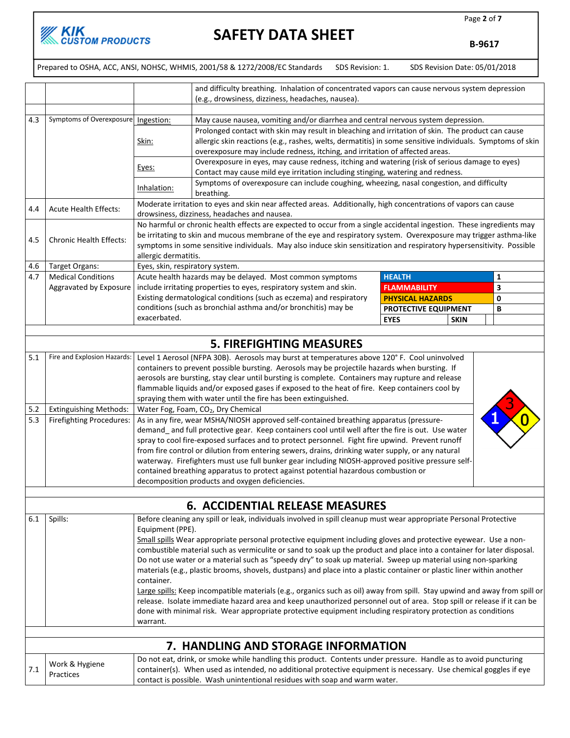

Page 2 of 7

B-9617

|     |                                                 |                                                                                                                                                                                                                                         | Prepared to OSHA, ACC, ANSI, NOHSC, WHMIS, 2001/58 & 1272/2008/EC Standards                                                                                                                                                               | SDS Revision: 1. | SDS Revision Date: 05/01/2018 |   |  |
|-----|-------------------------------------------------|-----------------------------------------------------------------------------------------------------------------------------------------------------------------------------------------------------------------------------------------|-------------------------------------------------------------------------------------------------------------------------------------------------------------------------------------------------------------------------------------------|------------------|-------------------------------|---|--|
|     |                                                 |                                                                                                                                                                                                                                         |                                                                                                                                                                                                                                           |                  |                               |   |  |
|     |                                                 | and difficulty breathing. Inhalation of concentrated vapors can cause nervous system depression<br>(e.g., drowsiness, dizziness, headaches, nausea).                                                                                    |                                                                                                                                                                                                                                           |                  |                               |   |  |
|     |                                                 |                                                                                                                                                                                                                                         |                                                                                                                                                                                                                                           |                  |                               |   |  |
| 4.3 | Symptoms of Overexposure   Ingestion:           |                                                                                                                                                                                                                                         | May cause nausea, vomiting and/or diarrhea and central nervous system depression.                                                                                                                                                         |                  |                               |   |  |
|     |                                                 |                                                                                                                                                                                                                                         | Prolonged contact with skin may result in bleaching and irritation of skin. The product can cause                                                                                                                                         |                  |                               |   |  |
|     |                                                 | Skin:                                                                                                                                                                                                                                   | allergic skin reactions (e.g., rashes, welts, dermatitis) in some sensitive individuals. Symptoms of skin                                                                                                                                 |                  |                               |   |  |
|     |                                                 |                                                                                                                                                                                                                                         | overexposure may include redness, itching, and irritation of affected areas.<br>Overexposure in eyes, may cause redness, itching and watering (risk of serious damage to eyes)                                                            |                  |                               |   |  |
|     |                                                 | Eyes:                                                                                                                                                                                                                                   | Contact may cause mild eye irritation including stinging, watering and redness.                                                                                                                                                           |                  |                               |   |  |
|     |                                                 |                                                                                                                                                                                                                                         | Symptoms of overexposure can include coughing, wheezing, nasal congestion, and difficulty                                                                                                                                                 |                  |                               |   |  |
|     |                                                 | Inhalation:                                                                                                                                                                                                                             | breathing.                                                                                                                                                                                                                                |                  |                               |   |  |
| 4.4 | <b>Acute Health Effects:</b>                    |                                                                                                                                                                                                                                         | Moderate irritation to eyes and skin near affected areas. Additionally, high concentrations of vapors can cause                                                                                                                           |                  |                               |   |  |
|     |                                                 |                                                                                                                                                                                                                                         | drowsiness, dizziness, headaches and nausea.<br>No harmful or chronic health effects are expected to occur from a single accidental ingestion. These ingredients may                                                                      |                  |                               |   |  |
|     |                                                 |                                                                                                                                                                                                                                         | be irritating to skin and mucous membrane of the eye and respiratory system. Overexposure may trigger asthma-like                                                                                                                         |                  |                               |   |  |
| 4.5 | <b>Chronic Health Effects:</b>                  |                                                                                                                                                                                                                                         | symptoms in some sensitive individuals. May also induce skin sensitization and respiratory hypersensitivity. Possible                                                                                                                     |                  |                               |   |  |
|     |                                                 | allergic dermatitis.                                                                                                                                                                                                                    |                                                                                                                                                                                                                                           |                  |                               |   |  |
| 4.6 | Target Organs:                                  | Eyes, skin, respiratory system.                                                                                                                                                                                                         |                                                                                                                                                                                                                                           |                  |                               |   |  |
| 4.7 | <b>Medical Conditions</b>                       |                                                                                                                                                                                                                                         | Acute health hazards may be delayed. Most common symptoms                                                                                                                                                                                 |                  | <b>HEALTH</b>                 | 1 |  |
|     | Aggravated by Exposure                          |                                                                                                                                                                                                                                         | include irritating properties to eyes, respiratory system and skin.                                                                                                                                                                       |                  | <b>FLAMMABILITY</b>           | 3 |  |
|     |                                                 |                                                                                                                                                                                                                                         | Existing dermatological conditions (such as eczema) and respiratory                                                                                                                                                                       |                  | <b>PHYSICAL HAZARDS</b>       | 0 |  |
|     |                                                 | exacerbated.                                                                                                                                                                                                                            | conditions (such as bronchial asthma and/or bronchitis) may be                                                                                                                                                                            |                  | PROTECTIVE EQUIPMENT          | В |  |
|     |                                                 |                                                                                                                                                                                                                                         |                                                                                                                                                                                                                                           |                  | <b>SKIN</b><br><b>EYES</b>    |   |  |
|     |                                                 |                                                                                                                                                                                                                                         |                                                                                                                                                                                                                                           |                  |                               |   |  |
|     |                                                 |                                                                                                                                                                                                                                         | <b>5. FIREFIGHTING MEASURES</b>                                                                                                                                                                                                           |                  |                               |   |  |
| 5.1 | Fire and Explosion Hazards:                     |                                                                                                                                                                                                                                         | Level 1 Aerosol (NFPA 30B). Aerosols may burst at temperatures above 120° F. Cool uninvolved                                                                                                                                              |                  |                               |   |  |
|     |                                                 |                                                                                                                                                                                                                                         | containers to prevent possible bursting. Aerosols may be projectile hazards when bursting. If                                                                                                                                             |                  |                               |   |  |
|     |                                                 | aerosols are bursting, stay clear until bursting is complete. Containers may rupture and release                                                                                                                                        |                                                                                                                                                                                                                                           |                  |                               |   |  |
|     |                                                 | flammable liquids and/or exposed gases if exposed to the heat of fire. Keep containers cool by<br>spraying them with water until the fire has been extinguished.                                                                        |                                                                                                                                                                                                                                           |                  |                               |   |  |
| 5.2 | <b>Extinguishing Methods:</b>                   |                                                                                                                                                                                                                                         | Water Fog, Foam, CO <sub>2</sub> , Dry Chemical                                                                                                                                                                                           |                  |                               |   |  |
| 5.3 | Firefighting Procedures:                        |                                                                                                                                                                                                                                         | As in any fire, wear MSHA/NIOSH approved self-contained breathing apparatus (pressure-                                                                                                                                                    |                  |                               |   |  |
|     |                                                 | demand and full protective gear. Keep containers cool until well after the fire is out. Use water                                                                                                                                       |                                                                                                                                                                                                                                           |                  |                               |   |  |
|     |                                                 | spray to cool fire-exposed surfaces and to protect personnel. Fight fire upwind. Prevent runoff                                                                                                                                         |                                                                                                                                                                                                                                           |                  |                               |   |  |
|     |                                                 | from fire control or dilution from entering sewers, drains, drinking water supply, or any natural                                                                                                                                       |                                                                                                                                                                                                                                           |                  |                               |   |  |
|     |                                                 |                                                                                                                                                                                                                                         | waterway. Firefighters must use full bunker gear including NIOSH-approved positive pressure self-                                                                                                                                         |                  |                               |   |  |
|     |                                                 |                                                                                                                                                                                                                                         | contained breathing apparatus to protect against potential hazardous combustion or                                                                                                                                                        |                  |                               |   |  |
|     | decomposition products and oxygen deficiencies. |                                                                                                                                                                                                                                         |                                                                                                                                                                                                                                           |                  |                               |   |  |
|     |                                                 |                                                                                                                                                                                                                                         |                                                                                                                                                                                                                                           |                  |                               |   |  |
|     |                                                 |                                                                                                                                                                                                                                         | <b>6. ACCIDENTIAL RELEASE MEASURES</b>                                                                                                                                                                                                    |                  |                               |   |  |
| 6.1 | Spills:                                         |                                                                                                                                                                                                                                         | Before cleaning any spill or leak, individuals involved in spill cleanup must wear appropriate Personal Protective                                                                                                                        |                  |                               |   |  |
|     |                                                 | Equipment (PPE).                                                                                                                                                                                                                        |                                                                                                                                                                                                                                           |                  |                               |   |  |
|     |                                                 |                                                                                                                                                                                                                                         | Small spills Wear appropriate personal protective equipment including gloves and protective eyewear. Use a non-<br>combustible material such as vermiculite or sand to soak up the product and place into a container for later disposal. |                  |                               |   |  |
|     |                                                 |                                                                                                                                                                                                                                         |                                                                                                                                                                                                                                           |                  |                               |   |  |
|     |                                                 | Do not use water or a material such as "speedy dry" to soak up material. Sweep up material using non-sparking<br>materials (e.g., plastic brooms, shovels, dustpans) and place into a plastic container or plastic liner within another |                                                                                                                                                                                                                                           |                  |                               |   |  |
|     |                                                 | container.                                                                                                                                                                                                                              |                                                                                                                                                                                                                                           |                  |                               |   |  |
|     |                                                 | Large spills: Keep incompatible materials (e.g., organics such as oil) away from spill. Stay upwind and away from spill or                                                                                                              |                                                                                                                                                                                                                                           |                  |                               |   |  |
|     |                                                 |                                                                                                                                                                                                                                         | release. Isolate immediate hazard area and keep unauthorized personnel out of area. Stop spill or release if it can be                                                                                                                    |                  |                               |   |  |
|     |                                                 |                                                                                                                                                                                                                                         | done with minimal risk. Wear appropriate protective equipment including respiratory protection as conditions                                                                                                                              |                  |                               |   |  |
|     |                                                 | warrant.                                                                                                                                                                                                                                |                                                                                                                                                                                                                                           |                  |                               |   |  |
|     |                                                 |                                                                                                                                                                                                                                         |                                                                                                                                                                                                                                           |                  |                               |   |  |
|     |                                                 |                                                                                                                                                                                                                                         | 7. HANDLING AND STORAGE INFORMATION                                                                                                                                                                                                       |                  |                               |   |  |
| 7.1 | Work & Hygiene                                  |                                                                                                                                                                                                                                         | Do not eat, drink, or smoke while handling this product. Contents under pressure. Handle as to avoid puncturing<br>container(s). When used as intended, no additional protective equipment is necessary. Use chemical goggles if eye      |                  |                               |   |  |
|     | Practices                                       |                                                                                                                                                                                                                                         | contact is possible. Wash unintentional residues with soap and warm water.                                                                                                                                                                |                  |                               |   |  |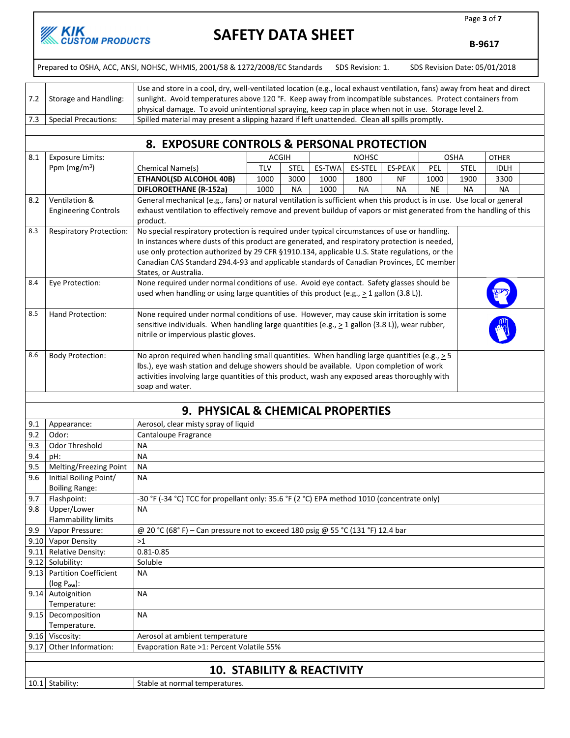

Page 3 of 7

B-9617

Prepared to OSHA, ACC, ANSI, NOHSC, WHMIS, 2001/58 & 1272/2008/EC Standards SDS Revision: 1. SDS Revision Date: 05/01/2018

| 7.2 | Storage and Handling: | Use and store in a cool, dry, well-ventilated location (e.g., local exhaust ventilation, fans) away from heat and direct<br>sunlight. Avoid temperatures above 120 °F. Keep away from incompatible substances. Protect containers from |
|-----|-----------------------|----------------------------------------------------------------------------------------------------------------------------------------------------------------------------------------------------------------------------------------|
|     |                       | physical damage. To avoid unintentional spraying, keep cap in place when not in use. Storage level 2.                                                                                                                                  |
|     | Special Precautions:  | Spilled material may present a slipping hazard if left unattended. Clean all spills promptly.                                                                                                                                          |
|     |                       |                                                                                                                                                                                                                                        |

#### 8. EXPOSURE CONTROLS & PERSONAL PROTECTION

| 8.1 | <b>Exposure Limits:</b>        |                                                                                                                        | <b>ACGIH</b> |             |               | <b>NOHSC</b>   |                |           | <b>OSHA</b> | <b>OTHER</b> |  |
|-----|--------------------------------|------------------------------------------------------------------------------------------------------------------------|--------------|-------------|---------------|----------------|----------------|-----------|-------------|--------------|--|
|     | Ppm ( $mg/m3$ )                | Chemical Name(s)                                                                                                       | <b>TLV</b>   | <b>STEL</b> | <b>ES-TWA</b> | <b>ES-STEL</b> | <b>ES-PEAK</b> | PEL       | <b>STEL</b> | <b>IDLH</b>  |  |
|     |                                | <b>ETHANOL(SD ALCOHOL 40B)</b>                                                                                         | 1000         | 3000        | 1000          | 1800           | <b>NF</b>      | 1000      | 1900        | 3300         |  |
|     |                                | <b>DIFLOROETHANE (R-152a)</b>                                                                                          | 1000         | <b>NA</b>   | 1000          | <b>NA</b>      | <b>NA</b>      | <b>NE</b> | <b>NA</b>   | <b>NA</b>    |  |
| 8.2 | Ventilation &                  | General mechanical (e.g., fans) or natural ventilation is sufficient when this product is in use. Use local or general |              |             |               |                |                |           |             |              |  |
|     | <b>Engineering Controls</b>    | exhaust ventilation to effectively remove and prevent buildup of vapors or mist generated from the handling of this    |              |             |               |                |                |           |             |              |  |
|     |                                | product.                                                                                                               |              |             |               |                |                |           |             |              |  |
| 8.3 | <b>Respiratory Protection:</b> | No special respiratory protection is required under typical circumstances of use or handling.                          |              |             |               |                |                |           |             |              |  |
|     |                                | In instances where dusts of this product are generated, and respiratory protection is needed,                          |              |             |               |                |                |           |             |              |  |
|     |                                | use only protection authorized by 29 CFR §1910.134, applicable U.S. State regulations, or the                          |              |             |               |                |                |           |             |              |  |
|     |                                | Canadian CAS Standard Z94.4-93 and applicable standards of Canadian Provinces, EC member                               |              |             |               |                |                |           |             |              |  |
|     |                                | States, or Australia.                                                                                                  |              |             |               |                |                |           |             |              |  |
| 8.4 | Eye Protection:                | None required under normal conditions of use. Avoid eye contact. Safety glasses should be                              |              |             |               |                |                |           |             |              |  |
|     |                                | used when handling or using large quantities of this product (e.g., $\geq 1$ gallon (3.8 L)).                          |              |             |               |                |                |           |             |              |  |
|     |                                |                                                                                                                        |              |             |               |                |                |           |             |              |  |
| 8.5 | Hand Protection:               | None required under normal conditions of use. However, may cause skin irritation is some                               |              |             |               |                |                |           |             |              |  |
|     |                                | sensitive individuals. When handling large quantities (e.g., $\geq$ 1 gallon (3.8 L)), wear rubber,                    |              |             |               |                |                |           |             |              |  |
|     |                                | nitrile or impervious plastic gloves.                                                                                  |              |             |               |                |                |           |             |              |  |
| 8.6 |                                | No apron required when handling small quantities. When handling large quantities (e.g., $\geq$ 5                       |              |             |               |                |                |           |             |              |  |
|     | <b>Body Protection:</b>        | lbs.), eye wash station and deluge showers should be available. Upon completion of work                                |              |             |               |                |                |           |             |              |  |
|     |                                |                                                                                                                        |              |             |               |                |                |           |             |              |  |
|     |                                | activities involving large quantities of this product, wash any exposed areas thoroughly with                          |              |             |               |                |                |           |             |              |  |
|     |                                | soap and water.                                                                                                        |              |             |               |                |                |           |             |              |  |
|     |                                | 9. PHYSICAL & CHEMICAL PROPERTIES                                                                                      |              |             |               |                |                |           |             |              |  |
|     |                                |                                                                                                                        |              |             |               |                |                |           |             |              |  |
| 9.1 | Appearance:                    | Aerosol, clear misty spray of liquid                                                                                   |              |             |               |                |                |           |             |              |  |
| 9.2 | Odor:                          | Cantaloupe Fragrance                                                                                                   |              |             |               |                |                |           |             |              |  |
| 9.3 | Odor Threshold                 | <b>NA</b>                                                                                                              |              |             |               |                |                |           |             |              |  |
| 9.4 | pH:                            | <b>NA</b>                                                                                                              |              |             |               |                |                |           |             |              |  |
| 9.5 | Melting/Freezing Point         | <b>NA</b>                                                                                                              |              |             |               |                |                |           |             |              |  |

| <b>.</b> . |                                       |                                                                                            |  |  |  |
|------------|---------------------------------------|--------------------------------------------------------------------------------------------|--|--|--|
| 9.5        | Melting/Freezing Point                | NA                                                                                         |  |  |  |
| 9.6        | Initial Boiling Point/                | <b>NA</b>                                                                                  |  |  |  |
|            | <b>Boiling Range:</b>                 |                                                                                            |  |  |  |
| 9.7        | Flashpoint:                           | -30 °F (-34 °C) TCC for propellant only: 35.6 °F (2 °C) EPA method 1010 (concentrate only) |  |  |  |
| 9.8        | Upper/Lower                           | <b>NA</b>                                                                                  |  |  |  |
|            | Flammability limits                   |                                                                                            |  |  |  |
| 9.9        | Vapor Pressure:                       | @ 20 °C (68°F) – Can pressure not to exceed 180 psig @ 55 °C (131 °F) 12.4 bar             |  |  |  |
| 9.10       | <b>Vapor Density</b>                  | >1                                                                                         |  |  |  |
| 9.11       | Relative Density:                     | $0.81 - 0.85$                                                                              |  |  |  |
| 9.12       | Solubility:                           | Soluble                                                                                    |  |  |  |
| 9.13       | <b>Partition Coefficient</b>          | <b>NA</b>                                                                                  |  |  |  |
|            | $(log P_{ow})$ :                      |                                                                                            |  |  |  |
|            | 9.14 Autoignition                     | <b>NA</b>                                                                                  |  |  |  |
|            | Temperature:                          |                                                                                            |  |  |  |
| 9.15       | Decomposition                         | <b>NA</b>                                                                                  |  |  |  |
|            | Temperature.                          |                                                                                            |  |  |  |
| 9.16       | Viscosity:                            | Aerosol at ambient temperature                                                             |  |  |  |
| 9.17       | Other Information:                    | Evaporation Rate >1: Percent Volatile 55%                                                  |  |  |  |
|            |                                       |                                                                                            |  |  |  |
|            | <b>10. STABILITY &amp; REACTIVITY</b> |                                                                                            |  |  |  |
|            | 10.1 Stability:                       | Stable at normal temperatures.                                                             |  |  |  |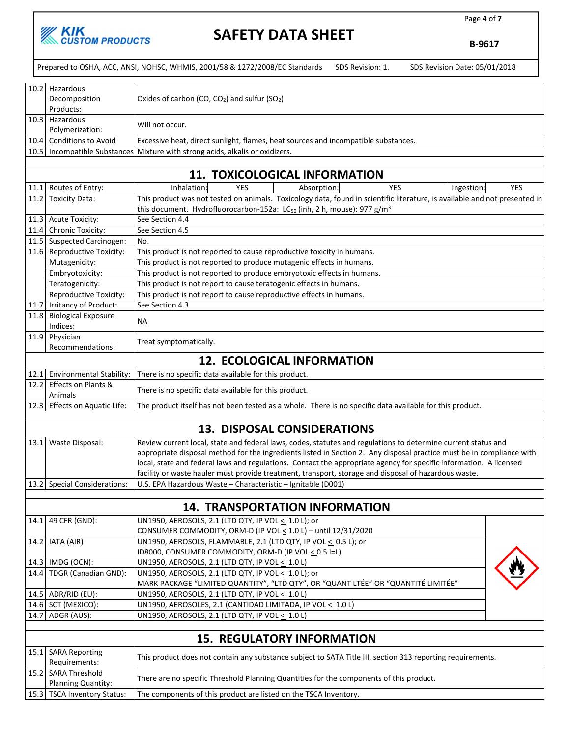

Page 4 of 7

B-9617

|      |                                                                                                                                                      | Prepared to OSHA, ACC, ANSI, NOHSC, WHMIS, 2001/58 & 1272/2008/EC Standards<br>SDS Revision: 1.<br>SDS Revision Date: 05/01/2018 |  |  |  |
|------|------------------------------------------------------------------------------------------------------------------------------------------------------|----------------------------------------------------------------------------------------------------------------------------------|--|--|--|
|      | 10.2 Hazardous                                                                                                                                       |                                                                                                                                  |  |  |  |
|      |                                                                                                                                                      |                                                                                                                                  |  |  |  |
|      | Decomposition<br>Products:                                                                                                                           | Oxides of carbon (CO, $CO2$ ) and sulfur (SO <sub>2</sub> )                                                                      |  |  |  |
|      | 10.3 Hazardous                                                                                                                                       |                                                                                                                                  |  |  |  |
|      |                                                                                                                                                      | Will not occur.                                                                                                                  |  |  |  |
|      | Polymerization:<br>10.4 Conditions to Avoid                                                                                                          | Excessive heat, direct sunlight, flames, heat sources and incompatible substances.                                               |  |  |  |
| 10.5 | Incompatible Substances                                                                                                                              | Mixture with strong acids, alkalis or oxidizers.                                                                                 |  |  |  |
|      |                                                                                                                                                      |                                                                                                                                  |  |  |  |
|      |                                                                                                                                                      | <b>11. TOXICOLOGICAL INFORMATION</b>                                                                                             |  |  |  |
|      | 11.1 Routes of Entry:                                                                                                                                | Inhalation:<br><b>YES</b><br><b>YES</b><br>Ingestion:<br><b>YES</b><br>Absorption                                                |  |  |  |
| 11.2 | <b>Toxicity Data:</b>                                                                                                                                | This product was not tested on animals. Toxicology data, found in scientific literature, is available and not presented in       |  |  |  |
|      |                                                                                                                                                      | this document. Hydrofluorocarbon-152a: LC <sub>50</sub> (inh, 2 h, mouse): 977 g/m <sup>3</sup>                                  |  |  |  |
|      | 11.3 Acute Toxicity:                                                                                                                                 | See Section 4.4                                                                                                                  |  |  |  |
|      | 11.4 Chronic Toxicity:                                                                                                                               | See Section 4.5                                                                                                                  |  |  |  |
|      | 11.5 Suspected Carcinogen:                                                                                                                           | No.                                                                                                                              |  |  |  |
|      | 11.6 Reproductive Toxicity:                                                                                                                          | This product is not reported to cause reproductive toxicity in humans.                                                           |  |  |  |
|      | Mutagenicity:                                                                                                                                        | This product is not reported to produce mutagenic effects in humans.                                                             |  |  |  |
|      | Embryotoxicity:                                                                                                                                      | This product is not reported to produce embryotoxic effects in humans.                                                           |  |  |  |
|      | Teratogenicity:                                                                                                                                      | This product is not report to cause teratogenic effects in humans.                                                               |  |  |  |
|      | Reproductive Toxicity:                                                                                                                               | This product is not report to cause reproductive effects in humans.                                                              |  |  |  |
|      | 11.7   Irritancy of Product:                                                                                                                         | See Section 4.3                                                                                                                  |  |  |  |
|      | 11.8 Biological Exposure                                                                                                                             | NA                                                                                                                               |  |  |  |
|      | Indices:                                                                                                                                             |                                                                                                                                  |  |  |  |
| 11.9 | Physician                                                                                                                                            | Treat symptomatically.                                                                                                           |  |  |  |
|      | Recommendations:                                                                                                                                     |                                                                                                                                  |  |  |  |
|      |                                                                                                                                                      | <b>12. ECOLOGICAL INFORMATION</b>                                                                                                |  |  |  |
|      | 12.1 Environmental Stability:                                                                                                                        | There is no specific data available for this product.                                                                            |  |  |  |
|      | 12.2 Effects on Plants &<br>There is no specific data available for this product.                                                                    |                                                                                                                                  |  |  |  |
|      | Animals<br>12.3 Effects on Aquatic Life:<br>The product itself has not been tested as a whole. There is no specific data available for this product. |                                                                                                                                  |  |  |  |
|      |                                                                                                                                                      |                                                                                                                                  |  |  |  |
|      |                                                                                                                                                      | <b>13. DISPOSAL CONSIDERATIONS</b>                                                                                               |  |  |  |
| 13.1 | Waste Disposal:                                                                                                                                      | Review current local, state and federal laws, codes, statutes and regulations to determine current status and                    |  |  |  |
|      |                                                                                                                                                      | appropriate disposal method for the ingredients listed in Section 2. Any disposal practice must be in compliance with            |  |  |  |
|      |                                                                                                                                                      | local, state and federal laws and regulations. Contact the appropriate agency for specific information. A licensed               |  |  |  |
|      | facility or waste hauler must provide treatment, transport, storage and disposal of hazardous waste.                                                 |                                                                                                                                  |  |  |  |
|      | 13.2 Special Considerations:                                                                                                                         | U.S. EPA Hazardous Waste - Characteristic - Ignitable (D001)                                                                     |  |  |  |
|      |                                                                                                                                                      |                                                                                                                                  |  |  |  |
|      |                                                                                                                                                      | <b>14. TRANSPORTATION INFORMATION</b>                                                                                            |  |  |  |
| 14.1 | 49 CFR (GND):                                                                                                                                        | UN1950, AEROSOLS, 2.1 (LTD QTY, IP VOL < 1.0 L); or                                                                              |  |  |  |
|      |                                                                                                                                                      | CONSUMER COMMODITY, ORM-D (IP VOL < 1.0 L) - until 12/31/2020                                                                    |  |  |  |
|      | 14.2   IATA (AIR)                                                                                                                                    | UN1950, AEROSOLS, FLAMMABLE, 2.1 (LTD QTY, IP VOL < 0.5 L); or                                                                   |  |  |  |
|      |                                                                                                                                                      | ID8000, CONSUMER COMMODITY, ORM-D (IP VOL < 0.5 I=L)                                                                             |  |  |  |
|      | 14.3   IMDG (OCN):<br>14.4 TDGR (Canadian GND):                                                                                                      | UN1950, AEROSOLS, 2.1 (LTD QTY, IP VOL < 1.0 L)<br>UN1950, AEROSOLS, 2.1 (LTD QTY, IP VOL < 1.0 L); or                           |  |  |  |
|      |                                                                                                                                                      | MARK PACKAGE "LIMITED QUANTITY", "LTD QTY", OR "QUANT LTÉE" OR "QUANTITÉ LIMITÉE"                                                |  |  |  |
|      | 14.5 ADR/RID (EU):                                                                                                                                   | UN1950, AEROSOLS, 2.1 (LTD QTY, IP VOL < 1.0 L)                                                                                  |  |  |  |
|      | 14.6 SCT (MEXICO):                                                                                                                                   | UN1950, AEROSOLES, 2.1 (CANTIDAD LIMITADA, IP VOL < 1.0 L)                                                                       |  |  |  |
|      | 14.7   ADGR (AUS):                                                                                                                                   | UN1950, AEROSOLS, 2.1 (LTD QTY, IP VOL < 1.0 L)                                                                                  |  |  |  |
|      |                                                                                                                                                      |                                                                                                                                  |  |  |  |
|      |                                                                                                                                                      | <b>15. REGULATORY INFORMATION</b>                                                                                                |  |  |  |
|      | 15.1 SARA Reporting<br>Requirements:                                                                                                                 | This product does not contain any substance subject to SATA Title III, section 313 reporting requirements.                       |  |  |  |
|      | 15.2 SARA Threshold                                                                                                                                  |                                                                                                                                  |  |  |  |
|      | Planning Quantity:                                                                                                                                   | There are no specific Threshold Planning Quantities for the components of this product.                                          |  |  |  |
|      | 15.3   TSCA Inventory Status:                                                                                                                        | The components of this product are listed on the TSCA Inventory.                                                                 |  |  |  |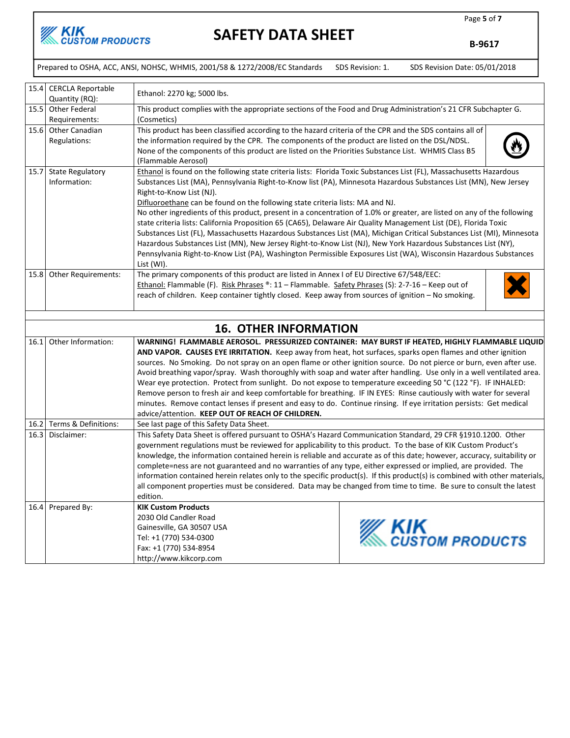

B-9617

|      | Prepared to OSHA, ACC, ANSI, NOHSC, WHMIS, 2001/58 & 1272/2008/EC Standards<br>SDS Revision: 1.<br>SDS Revision Date: 05/01/2018 |                                                                                                                                                                                                                                                                                                                                                                                                                                                                                                                                                                                                                                                                                                                                                                                                                                                                                                                                                                                |  |                                      |  |  |
|------|----------------------------------------------------------------------------------------------------------------------------------|--------------------------------------------------------------------------------------------------------------------------------------------------------------------------------------------------------------------------------------------------------------------------------------------------------------------------------------------------------------------------------------------------------------------------------------------------------------------------------------------------------------------------------------------------------------------------------------------------------------------------------------------------------------------------------------------------------------------------------------------------------------------------------------------------------------------------------------------------------------------------------------------------------------------------------------------------------------------------------|--|--------------------------------------|--|--|
|      | 15.4 CERCLA Reportable<br>Quantity (RQ):                                                                                         | Ethanol: 2270 kg; 5000 lbs.                                                                                                                                                                                                                                                                                                                                                                                                                                                                                                                                                                                                                                                                                                                                                                                                                                                                                                                                                    |  |                                      |  |  |
|      | 15.5 Other Federal<br>Requirements:                                                                                              | This product complies with the appropriate sections of the Food and Drug Administration's 21 CFR Subchapter G.<br>(Cosmetics)                                                                                                                                                                                                                                                                                                                                                                                                                                                                                                                                                                                                                                                                                                                                                                                                                                                  |  |                                      |  |  |
|      | 15.6 Other Canadian<br>Regulations:                                                                                              | This product has been classified according to the hazard criteria of the CPR and the SDS contains all of<br>the information required by the CPR. The components of the product are listed on the DSL/NDSL.<br>None of the components of this product are listed on the Priorities Substance List. WHMIS Class B5<br>(Flammable Aerosol)                                                                                                                                                                                                                                                                                                                                                                                                                                                                                                                                                                                                                                        |  |                                      |  |  |
|      | 15.7 State Regulatory<br>Information:                                                                                            | Ethanol is found on the following state criteria lists: Florida Toxic Substances List (FL), Massachusetts Hazardous<br>Substances List (MA), Pennsylvania Right-to-Know list (PA), Minnesota Hazardous Substances List (MN), New Jersey<br>Right-to-Know List (NJ).<br>Difluoroethane can be found on the following state criteria lists: MA and NJ.<br>No other ingredients of this product, present in a concentration of 1.0% or greater, are listed on any of the following<br>state criteria lists: California Proposition 65 (CA65), Delaware Air Quality Management List (DE), Florida Toxic<br>Substances List (FL), Massachusetts Hazardous Substances List (MA), Michigan Critical Substances List (MI), Minnesota<br>Hazardous Substances List (MN), New Jersey Right-to-Know List (NJ), New York Hazardous Substances List (NY),<br>Pennsylvania Right-to-Know List (PA), Washington Permissible Exposures List (WA), Wisconsin Hazardous Substances<br>List (WI). |  |                                      |  |  |
|      | 15.8 Other Requirements:                                                                                                         | The primary components of this product are listed in Annex I of EU Directive 67/548/EEC:<br>Ethanol: Flammable (F). Risk Phrases ®: 11 - Flammable. Safety Phrases (S): 2-7-16 - Keep out of<br>reach of children. Keep container tightly closed. Keep away from sources of ignition - No smoking.                                                                                                                                                                                                                                                                                                                                                                                                                                                                                                                                                                                                                                                                             |  |                                      |  |  |
|      |                                                                                                                                  | <b>16. OTHER INFORMATION</b>                                                                                                                                                                                                                                                                                                                                                                                                                                                                                                                                                                                                                                                                                                                                                                                                                                                                                                                                                   |  |                                      |  |  |
| 16.1 | Other Information:                                                                                                               | WARNING! FLAMMABLE AEROSOL. PRESSURIZED CONTAINER: MAY BURST IF HEATED, HIGHLY FLAMMABLE LIQUID<br>AND VAPOR. CAUSES EYE IRRITATION. Keep away from heat, hot surfaces, sparks open flames and other ignition<br>sources. No Smoking. Do not spray on an open flame or other ignition source. Do not pierce or burn, even after use.<br>Avoid breathing vapor/spray. Wash thoroughly with soap and water after handling. Use only in a well ventilated area.<br>Wear eye protection. Protect from sunlight. Do not expose to temperature exceeding 50 °C (122 °F). IF INHALED:<br>Remove person to fresh air and keep comfortable for breathing. IF IN EYES: Rinse cautiously with water for several<br>minutes. Remove contact lenses if present and easy to do. Continue rinsing. If eye irritation persists: Get medical<br>advice/attention. KEEP OUT OF REACH OF CHILDREN.                                                                                                |  |                                      |  |  |
|      | 16.2 Terms & Definitions:                                                                                                        | See last page of this Safety Data Sheet.                                                                                                                                                                                                                                                                                                                                                                                                                                                                                                                                                                                                                                                                                                                                                                                                                                                                                                                                       |  |                                      |  |  |
|      | 16.3 Disclaimer:                                                                                                                 | This Safety Data Sheet is offered pursuant to OSHA's Hazard Communication Standard, 29 CFR §1910.1200. Other<br>government regulations must be reviewed for applicability to this product. To the base of KIK Custom Product's<br>knowledge, the information contained herein is reliable and accurate as of this date; however, accuracy, suitability or<br>complete=ness are not guaranteed and no warranties of any type, either expressed or implied, are provided. The<br>information contained herein relates only to the specific product(s). If this product(s) is combined with other materials,<br>all component properties must be considered. Data may be changed from time to time. Be sure to consult the latest<br>edition.                                                                                                                                                                                                                                     |  |                                      |  |  |
|      | 16.4 Prepared By:                                                                                                                | <b>KIK Custom Products</b><br>2030 Old Candler Road<br>Gainesville, GA 30507 USA<br>Tel: +1 (770) 534-0300<br>Fax: +1 (770) 534-8954<br>http://www.kikcorp.com                                                                                                                                                                                                                                                                                                                                                                                                                                                                                                                                                                                                                                                                                                                                                                                                                 |  | <b>KIK</b><br><i>CUSTOM PRODUCTS</i> |  |  |

Page 5 of 7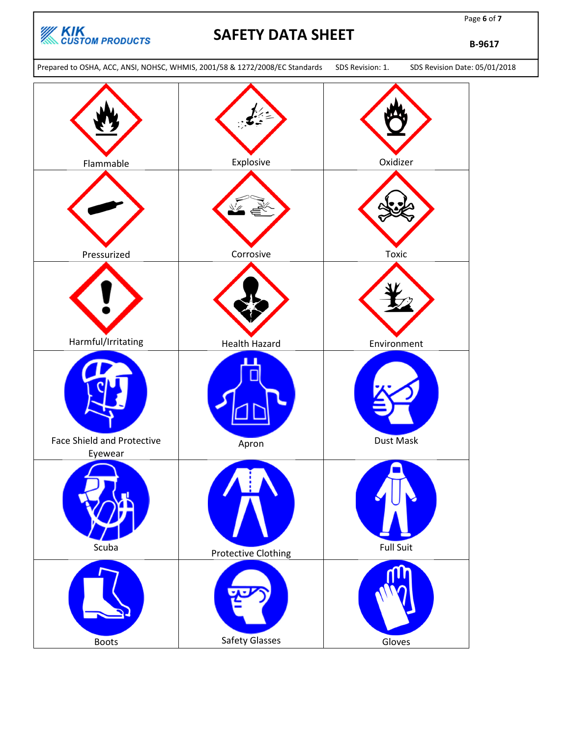

Page 6 of 7

B-9617

Prepared to OSHA, ACC, ANSI, NOHSC, WHMIS, 2001/58 & 1272/2008/EC Standards SDS Revision: 1. SDS Revision Date: 05/01/2018